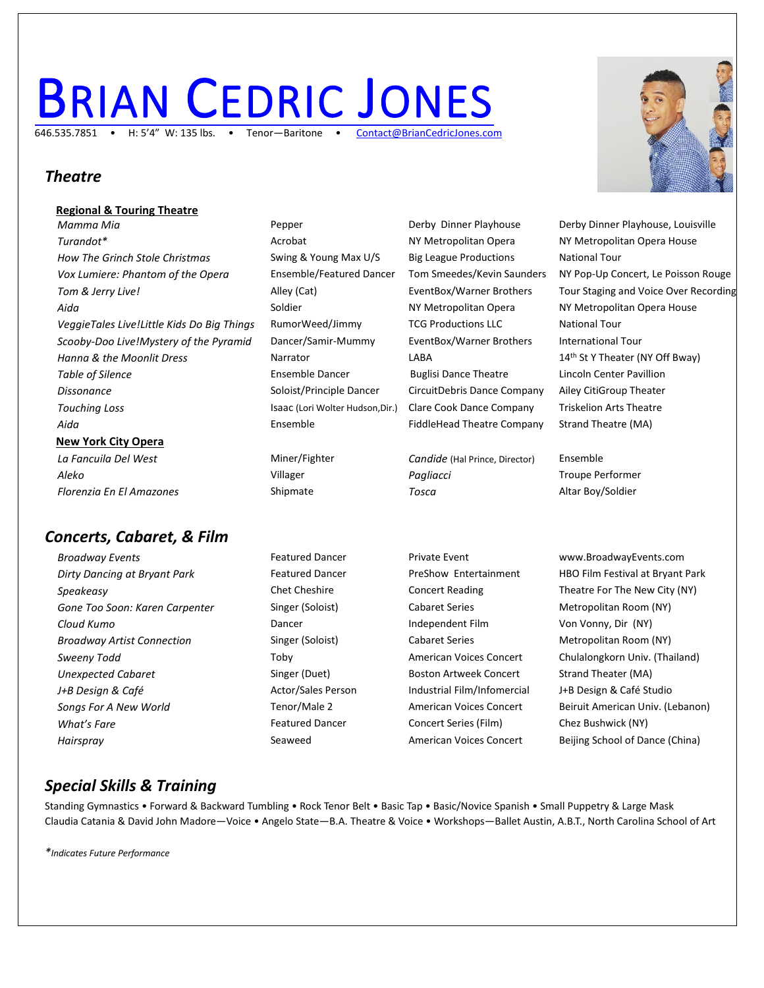# **BRIAN C[EDRIC](http://www.briancedricjones.com/) JONES** 646.535.7851 • H: 5'4" W: 135 lbs. • Tenor-Baritone •





### *Theatre*

#### **Regional & Touring Theatre Mamma Mia Pepper** Pepper Derby Dinner Playhouse Derby Dinner Playhouse, Louisville **Turandot\*** Acrobat Acrobat Acrobat NY Metropolitan Opera NY Metropolitan Opera House *How The Grinch Stole Christmas* Swing & Young Max U/S Big League Productions National Tour *Vox Lumiere: Phantom of the Opera* Ensemble/Featured Dancer Tom Smeedes/Kevin Saunders NY Pop-Up Concert, Le Poisson Rouge Tom & Jerry Live! Transler Museum Alley (Cat) Alley (Cat) EventBox/Warner Brothers Tour Staging and Voice Over Recording Aida **Soldier** Soldier **NY Metropolitan Opera NY Metropolitan Opera House** NY Metropolitan Opera House *VeggieTales Live!Little Kids Do Big Things* RumorWeed/Jimmy TCG Productions LLC National Tour *Scooby-Doo Live!Mystery of the Pyramid* Dancer/Samir-Mummy EventBox/Warner Brothers International Tour *Hanna & the Moonlit Dress* Narrator National LABA 14<sup>th</sup> St Y Theater (NY Off Bway) **Table of Silence** The Ensemble Dancer **Ensemble Dance Theatre** Lincoln Center Pavillion *Dissonance* Soloist/Principle Dancer CircuitDebris Dance Company Ailey CitiGroup Theater *Touching Loss* Isaac (Lori Wolter Hudson,Dir.) Clare Cook Dance Company Triskelion Arts Theatre Aida **Ensemble** FiddleHead Theatre Company Strand Theatre (MA) **New York City Opera** *La Fancuila Del West* Miner/Fighter *Candide* (Hal Prince, Director) Ensemble *Aleko* Villager *Pagliacci* Troupe Performer

*Florenzia En El Amazones* Shipmate *Tosca* Altar Boy/Soldier

*Concerts, Cabaret, & Film*

- *Dirty Dancing at Bryant Park* Featured Dancer PreShow Entertainment HBO Film Festival at Bryant Park **Speakeasy** Chet Cheshire Concert Reading Theatre For The New City (NY) *Gone Too Soon: Karen Carpenter* Singer (Soloist) Cabaret Series Metropolitan Room (NY) *Cloud Kumo* Dancer Independent Film Von Vonny, Dir (NY) **Broadway Artist Connection** Singer (Soloist) Cabaret Series Metropolitan Room (NY) **Sweeny Todd Toby** Toby **American Voices Concert** Chulalongkorn Univ. (Thailand) *Unexpected Cabaret* Singer (Duet) Boston Artweek Concert Strand Theater (MA) *J+B Design & Café* Actor/Sales Person Industrial Film/Infomercial J+B Design & Café Studio *Songs For A New World* Tenor/Male 2 American Voices Concert Beiruit American Univ. (Lebanon) **What's Fare** Featured Dancer Concert Series (Film) Chez Bushwick (NY) Chez Bushwick (NY) *Hairspray* Seaweed American Voices Concert Beijing School of Dance (China)
- 
- 

**Broadway Events** Featured Dancer Private Event WWW.BroadwayEvents.com

## *Special Skills & Training*

Standing Gymnastics • Forward & Backward Tumbling • Rock Tenor Belt • Basic Tap • Basic/Novice Spanish • Small Puppetry & Large Mask Claudia Catania & David John Madore—Voice • Angelo State—B.A. Theatre & Voice • Workshops—Ballet Austin, A.B.T., North Carolina School of Art

*\*Indicates Future Performance*